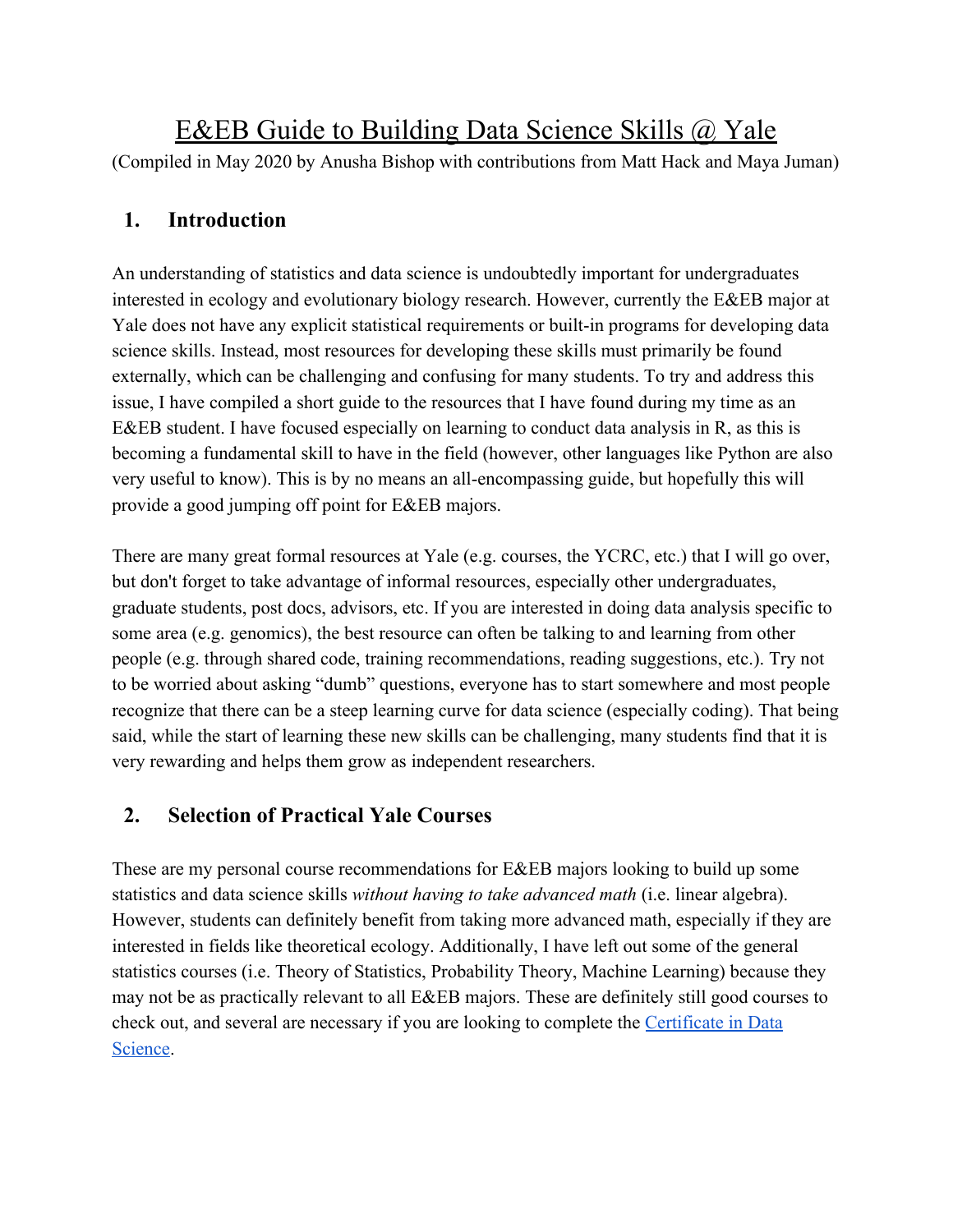# E&EB Guide to Building Data Science Skills @ Yale

(Compiled in May 2020 by Anusha Bishop with contributions from Matt Hack and Maya Juman)

## **1. Introduction**

An understanding of statistics and data science is undoubtedly important for undergraduates interested in ecology and evolutionary biology research. However, currently the E&EB major at Yale does not have any explicit statistical requirements or built-in programs for developing data science skills. Instead, most resources for developing these skills must primarily be found externally, which can be challenging and confusing for many students. To try and address this issue, I have compiled a short guide to the resources that I have found during my time as an E&EB student. I have focused especially on learning to conduct data analysis in R, as this is becoming a fundamental skill to have in the field (however, other languages like Python are also very useful to know). This is by no means an all-encompassing guide, but hopefully this will provide a good jumping off point for E&EB majors.

There are many great formal resources at Yale (e.g. courses, the YCRC, etc.) that I will go over, but don't forget to take advantage of informal resources, especially other undergraduates, graduate students, post docs, advisors, etc. If you are interested in doing data analysis specific to some area (e.g. genomics), the best resource can often be talking to and learning from other people (e.g. through shared code, training recommendations, reading suggestions, etc.). Try not to be worried about asking "dumb" questions, everyone has to start somewhere and most people recognize that there can be a steep learning curve for data science (especially coding). That being said, while the start of learning these new skills can be challenging, many students find that it is very rewarding and helps them grow as independent researchers.

## **2. Selection of Practical Yale Courses**

These are my personal course recommendations for E&EB majors looking to build up some statistics and data science skills *without having to take advanced math* (i.e. linear algebra). However, students can definitely benefit from taking more advanced math, especially if they are interested in fields like theoretical ecology. Additionally, I have left out some of the general statistics courses (i.e. Theory of Statistics, Probability Theory, Machine Learning) because they may not be as practically relevant to all E&EB majors. These are definitely still good courses to check out, and several are necessary if you are looking to complete the [Certificate in Data](https://statistics.yale.edu/academics/certificate-data-science) [Science.](https://statistics.yale.edu/academics/certificate-data-science)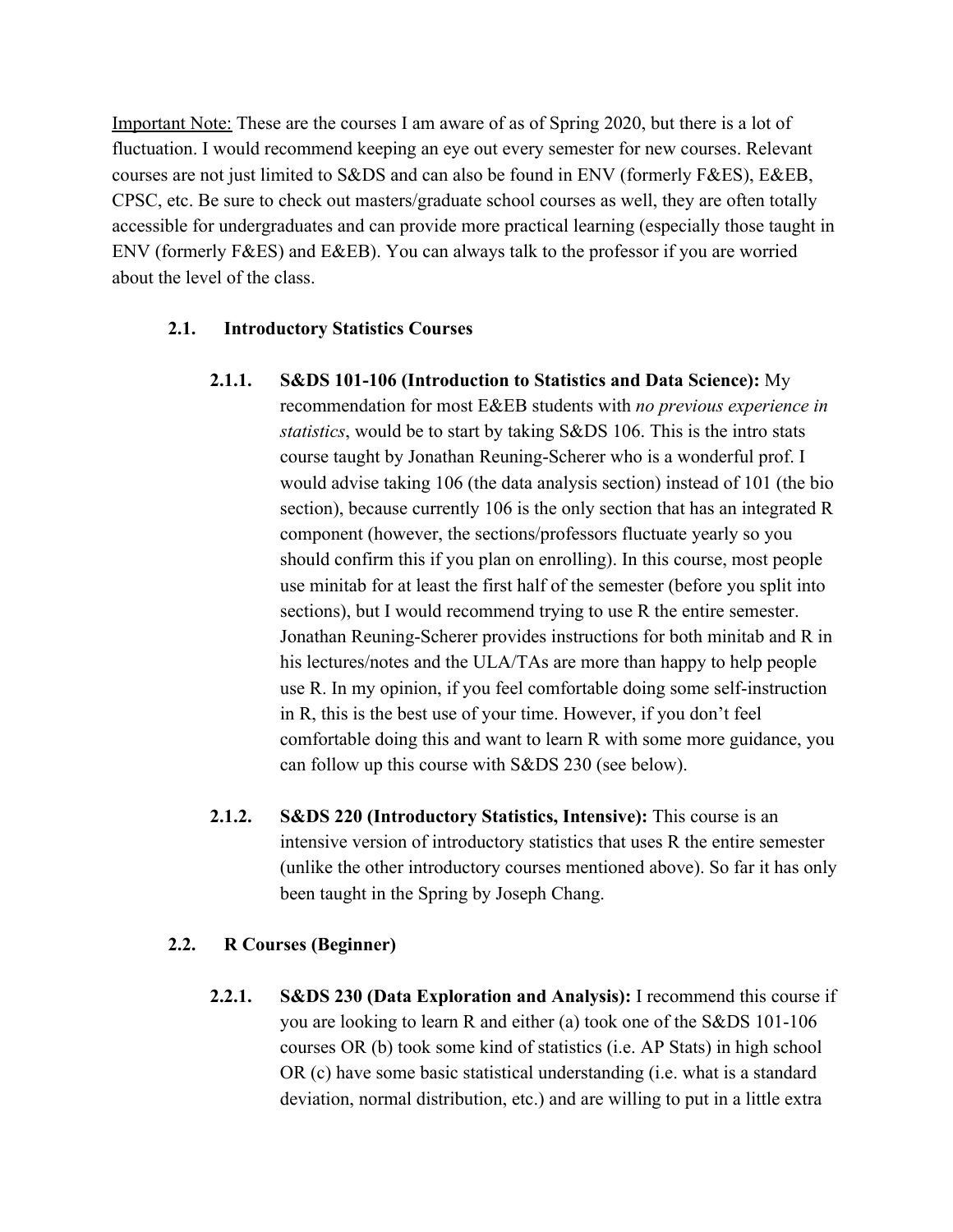Important Note: These are the courses I am aware of as of Spring 2020, but there is a lot of fluctuation. I would recommend keeping an eye out every semester for new courses. Relevant courses are not just limited to S&DS and can also be found in ENV (formerly F&ES), E&EB, CPSC, etc. Be sure to check out masters/graduate school courses as well, they are often totally accessible for undergraduates and can provide more practical learning (especially those taught in ENV (formerly F&ES) and E&EB). You can always talk to the professor if you are worried about the level of the class.

### **2.1. Introductory Statistics Courses**

- **2.1.1. S&DS 101-106 (Introduction to Statistics and Data Science):** My recommendation for most E&EB students with *no previous experience in statistics*, would be to start by taking S&DS 106. This is the intro stats course taught by Jonathan Reuning-Scherer who is a wonderful prof. I would advise taking 106 (the data analysis section) instead of 101 (the bio section), because currently 106 is the only section that has an integrated R component (however, the sections/professors fluctuate yearly so you should confirm this if you plan on enrolling). In this course, most people use minitab for at least the first half of the semester (before you split into sections), but I would recommend trying to use R the entire semester. Jonathan Reuning-Scherer provides instructions for both minitab and R in his lectures/notes and the ULA/TAs are more than happy to help people use R. In my opinion, if you feel comfortable doing some self-instruction in R, this is the best use of your time. However, if you don't feel comfortable doing this and want to learn R with some more guidance, you can follow up this course with S&DS 230 (see below).
- **2.1.2. S&DS 220 (Introductory Statistics, Intensive):** This course is an intensive version of introductory statistics that uses R the entire semester (unlike the other introductory courses mentioned above). So far it has only been taught in the Spring by Joseph Chang.

#### **2.2. R Courses (Beginner)**

**2.2.1. S&DS 230 (Data Exploration and Analysis):** I recommend this course if you are looking to learn R and either (a) took one of the S&DS 101-106 courses OR (b) took some kind of statistics (i.e. AP Stats) in high school OR (c) have some basic statistical understanding (i.e. what is a standard deviation, normal distribution, etc.) and are willing to put in a little extra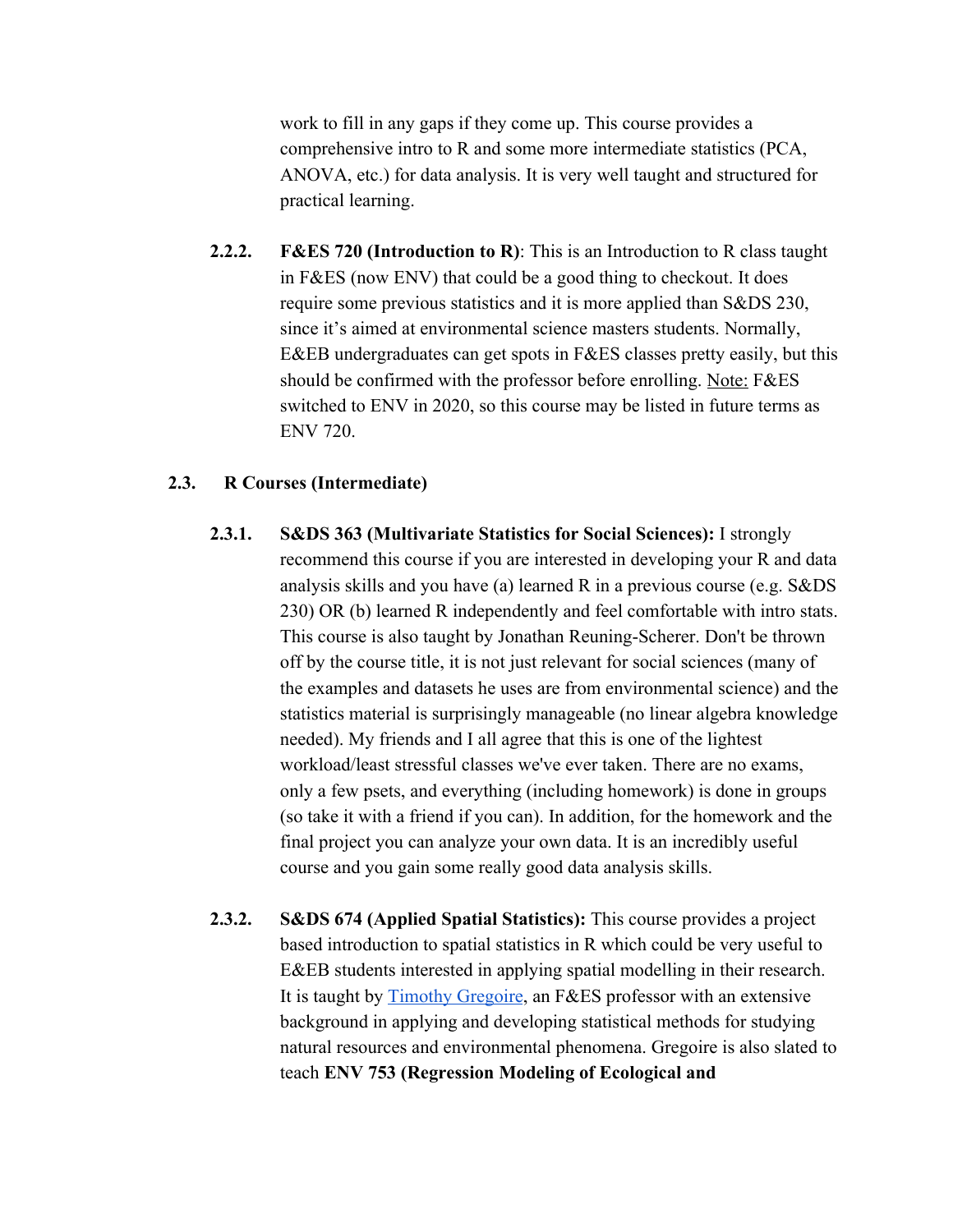work to fill in any gaps if they come up. This course provides a comprehensive intro to R and some more intermediate statistics (PCA, ANOVA, etc.) for data analysis. It is very well taught and structured for practical learning.

**2.2.2. F&ES 720 (Introduction to R)**: This is an Introduction to R class taught in F&ES (now ENV) that could be a good thing to checkout. It does require some previous statistics and it is more applied than S&DS 230, since it's aimed at environmental science masters students. Normally, E&EB undergraduates can get spots in F&ES classes pretty easily, but this should be confirmed with the professor before enrolling. Note: F&ES switched to ENV in 2020, so this course may be listed in future terms as ENV 720.

#### **2.3. R Courses (Intermediate)**

- **2.3.1. S&DS 363 (Multivariate Statistics for Social Sciences):** I strongly recommend this course if you are interested in developing your R and data analysis skills and you have (a) learned R in a previous course (e.g. S&DS 230) OR (b) learned R independently and feel comfortable with intro stats. This course is also taught by Jonathan Reuning-Scherer. Don't be thrown off by the course title, it is not just relevant for social sciences (many of the examples and datasets he uses are from environmental science) and the statistics material is surprisingly manageable (no linear algebra knowledge needed). My friends and I all agree that this is one of the lightest workload/least stressful classes we've ever taken. There are no exams, only a few psets, and everything (including homework) is done in groups (so take it with a friend if you can). In addition, for the homework and the final project you can analyze your own data. It is an incredibly useful course and you gain some really good data analysis skills.
- **2.3.2. S&DS 674 (Applied Spatial Statistics):** This course provides a project based introduction to spatial statistics in R which could be very useful to E&EB students interested in applying spatial modelling in their research. It is taught by [Timothy Gregoire](https://environment.yale.edu/profile/gregoire), an F&ES professor with an extensive background in applying and developing statistical methods for studying natural resources and environmental phenomena. Gregoire is also slated to teach **ENV 753 (Regression Modeling of Ecological and**